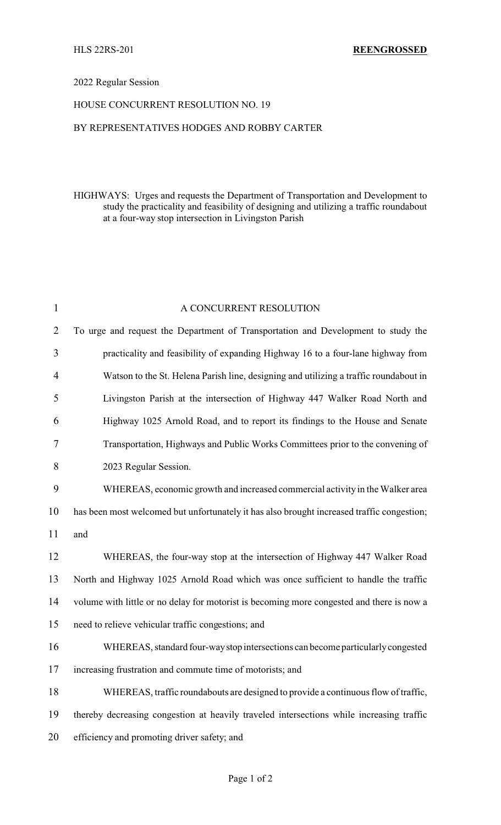## 2022 Regular Session

## HOUSE CONCURRENT RESOLUTION NO. 19

## BY REPRESENTATIVES HODGES AND ROBBY CARTER

HIGHWAYS: Urges and requests the Department of Transportation and Development to study the practicality and feasibility of designing and utilizing a traffic roundabout at a four-way stop intersection in Livingston Parish

| $\mathbf{1}$   | A CONCURRENT RESOLUTION                                                                    |
|----------------|--------------------------------------------------------------------------------------------|
| $\overline{2}$ | To urge and request the Department of Transportation and Development to study the          |
| 3              | practicality and feasibility of expanding Highway 16 to a four-lane highway from           |
| $\overline{4}$ | Watson to the St. Helena Parish line, designing and utilizing a traffic roundabout in      |
| 5              | Livingston Parish at the intersection of Highway 447 Walker Road North and                 |
| 6              | Highway 1025 Arnold Road, and to report its findings to the House and Senate               |
| 7              | Transportation, Highways and Public Works Committees prior to the convening of             |
| 8              | 2023 Regular Session.                                                                      |
| 9              | WHEREAS, economic growth and increased commercial activity in the Walker area              |
| 10             | has been most welcomed but unfortunately it has also brought increased traffic congestion; |
| 11             | and                                                                                        |
| 12             | WHEREAS, the four-way stop at the intersection of Highway 447 Walker Road                  |
| 13             | North and Highway 1025 Arnold Road which was once sufficient to handle the traffic         |
| 14             | volume with little or no delay for motorist is becoming more congested and there is now a  |
| 15             | need to relieve vehicular traffic congestions; and                                         |
| 16             | WHEREAS, standard four-way stop intersections can become particularly congested            |
| 17             | increasing frustration and commute time of motorists; and                                  |
| 18             | WHEREAS, traffic roundabouts are designed to provide a continuous flow of traffic,         |
| 19             | thereby decreasing congestion at heavily traveled intersections while increasing traffic   |
| 20             | efficiency and promoting driver safety; and                                                |